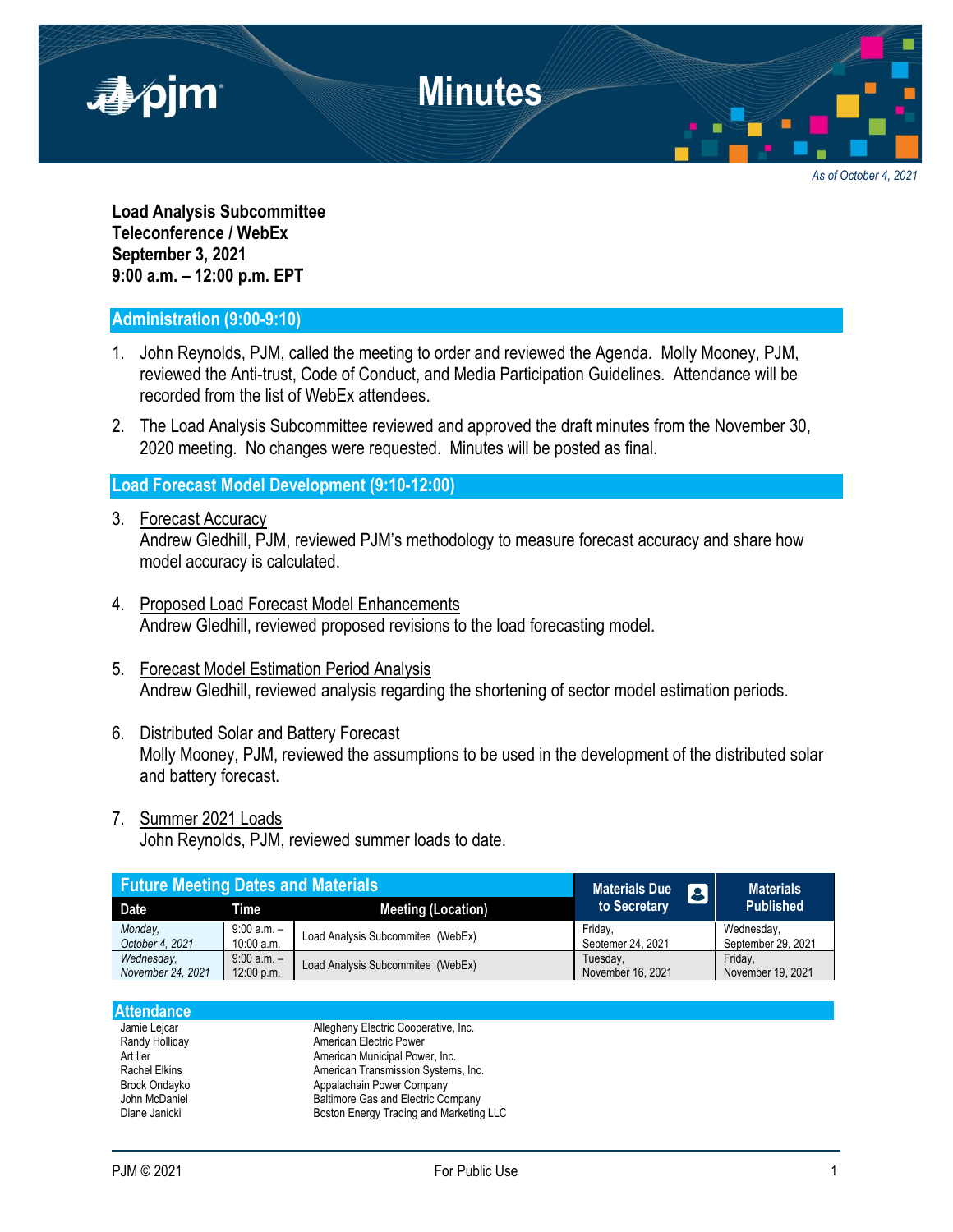

*As of October 4, 2021*

**Load Analysis Subcommittee Teleconference / WebEx September 3, 2021 9:00 a.m. – 12:00 p.m. EPT**

## **Administration (9:00-9:10)**

- 1. John Reynolds, PJM, called the meeting to order and reviewed the Agenda. Molly Mooney, PJM, reviewed the Anti-trust, Code of Conduct, and Media Participation Guidelines. Attendance will be recorded from the list of WebEx attendees.
- 2. The Load Analysis Subcommittee reviewed and approved the draft minutes from the November 30, 2020 meeting. No changes were requested. Minutes will be posted as final.

## **Load Forecast Model Development (9:10-12:00)**

- 3. Forecast Accuracy Andrew Gledhill, PJM, reviewed PJM's methodology to measure forecast accuracy and share how model accuracy is calculated.
- 4. Proposed Load Forecast Model Enhancements Andrew Gledhill, reviewed proposed revisions to the load forecasting model.
- 5. Forecast Model Estimation Period Analysis Andrew Gledhill, reviewed analysis regarding the shortening of sector model estimation periods.
- 6. Distributed Solar and Battery Forecast Molly Mooney, PJM, reviewed the assumptions to be used in the development of the distributed solar and battery forecast.
- 7. Summer 2021 Loads

John Reynolds, PJM, reviewed summer loads to date.

| <b>Future Meeting Dates and Materials</b> |               |                                   | <b>Materials Due</b><br> B | <b>Materials</b>   |
|-------------------------------------------|---------------|-----------------------------------|----------------------------|--------------------|
| <b>Date</b>                               | Time          | <b>Meeting (Location)</b>         | to Secretary               | <b>Published</b>   |
| Monday.                                   | $9:00 a.m. -$ | Load Analysis Subcommitee (WebEx) | Fridav.                    | Wednesday,         |
| October 4, 2021                           | $10:00$ a.m.  |                                   | Septemer 24, 2021          | September 29, 2021 |
| Wednesday,                                | $9:00 a.m. -$ | Load Analysis Subcommitee (WebEx) | Tuesday,                   | Friday,            |
| November 24, 2021                         | 12:00 p.m.    |                                   | November 16, 2021          | November 19, 2021  |

| <b>Attendance</b>    |                                         |
|----------------------|-----------------------------------------|
| Jamie Lejcar         | Allegheny Electric Cooperative, Inc.    |
| Randy Holliday       | American Electric Power                 |
| Art Iler             | American Municipal Power, Inc.          |
| <b>Rachel Elkins</b> | American Transmission Systems, Inc.     |
| <b>Brock Ondayko</b> | Appalachain Power Company               |
| John McDaniel        | Baltimore Gas and Electric Company      |
| Diane Janicki        | Boston Energy Trading and Marketing LLC |
|                      |                                         |